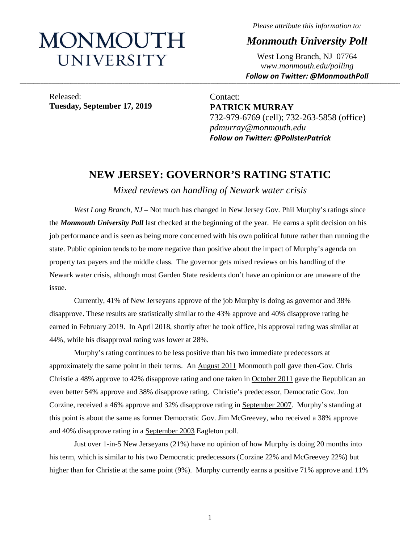# MONMOUTH UNIVERSITY

*Please attribute this information to:*

*Monmouth University Poll*

West Long Branch, NJ 07764 *www.monmouth.edu/polling Follow on Twitter: @MonmouthPoll*

Released: **Tuesday, September 17, 2019**

Contact: **PATRICK MURRAY** 732-979-6769 (cell); 732-263-5858 (office) *pdmurray@monmouth.edu Follow on Twitter: @PollsterPatrick*

# **NEW JERSEY: GOVERNOR'S RATING STATIC**

**\_\_\_\_\_\_\_\_\_\_\_\_\_\_\_\_\_\_\_\_\_\_\_\_\_\_\_\_\_\_\_\_\_\_\_\_\_\_\_\_\_\_\_\_\_\_\_\_\_\_\_\_\_\_\_\_\_\_\_\_\_\_\_\_\_\_\_\_\_\_\_\_\_\_\_\_\_\_\_\_\_\_\_\_\_\_\_\_\_\_\_\_\_\_\_\_\_\_\_\_\_\_\_\_\_\_\_\_\_\_\_\_\_\_\_\_\_\_\_\_\_\_\_\_\_\_\_\_\_\_\_\_\_\_\_\_\_\_\_\_\_\_\_\_\_\_\_\_\_\_\_\_\_\_\_\_\_\_\_\_\_\_\_\_\_\_\_\_\_\_\_\_\_\_\_\_\_\_\_\_\_\_\_\_\_\_\_\_\_\_\_\_\_\_\_\_\_\_\_\_\_\_\_\_\_\_\_\_\_\_\_\_\_\_\_\_\_\_\_\_\_\_\_\_\_\_\_\_\_\_\_\_\_\_\_\_\_\_\_\_\_\_\_\_\_\_\_\_\_\_\_\_\_\_\_\_\_\_\_\_\_\_\_\_\_\_\_\_\_\_\_\_\_\_\_\_\_**

*Mixed reviews on handling of Newark water crisis*

*West Long Branch, NJ* – Not much has changed in New Jersey Gov. Phil Murphy's ratings since the *Monmouth University Poll* last checked at the beginning of the year. He earns a split decision on his job performance and is seen as being more concerned with his own political future rather than running the state. Public opinion tends to be more negative than positive about the impact of Murphy's agenda on property tax payers and the middle class. The governor gets mixed reviews on his handling of the Newark water crisis, although most Garden State residents don't have an opinion or are unaware of the issue.

Currently, 41% of New Jerseyans approve of the job Murphy is doing as governor and 38% disapprove. These results are statistically similar to the 43% approve and 40% disapprove rating he earned in February 2019. In April 2018, shortly after he took office, his approval rating was similar at 44%, while his disapproval rating was lower at 28%.

Murphy's rating continues to be less positive than his two immediate predecessors at approximately the same point in their terms. An [August 2011](https://www.monmouth.edu/polling-institute/reports/monmouthpoll_nj_081211/) Monmouth poll gave then-Gov. Chris Christie a 48% approve to 42% disapprove rating and one taken in [October](https://www.monmouth.edu/polling-institute/reports/monmouthpoll_nj_101211/) 2011 gave the Republican an even better 54% approve and 38% disapprove rating. Christie's predecessor, Democratic Gov. Jon Corzine, received a 46% approve and 32% disapprove rating in [September 2007.](https://www.monmouth.edu/polling-institute/reports/monmouthpoll_nj_100707/) Murphy's standing at this point is about the same as former Democratic Gov. Jim McGreevey, who received a 38% approve and 40% disapprove rating in a [September 2003](http://eagletonpoll.rutgers.edu/whither-mcgreevey-new-jerseyans-ambivalent-about-their-governor/) Eagleton poll.

Just over 1-in-5 New Jerseyans (21%) have no opinion of how Murphy is doing 20 months into his term, which is similar to his two Democratic predecessors (Corzine 22% and McGreevey 22%) but higher than for Christie at the same point (9%). Murphy currently earns a positive 71% approve and 11%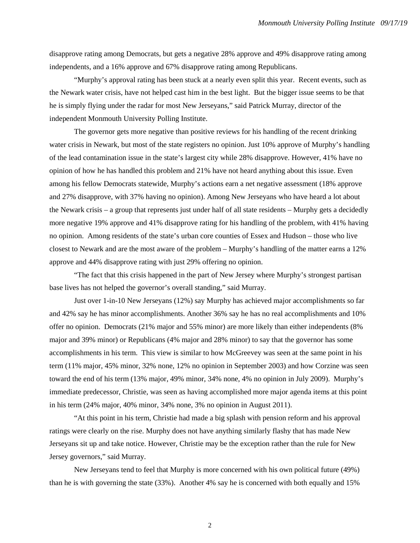disapprove rating among Democrats, but gets a negative 28% approve and 49% disapprove rating among independents, and a 16% approve and 67% disapprove rating among Republicans.

"Murphy's approval rating has been stuck at a nearly even split this year. Recent events, such as the Newark water crisis, have not helped cast him in the best light. But the bigger issue seems to be that he is simply flying under the radar for most New Jerseyans," said Patrick Murray, director of the independent Monmouth University Polling Institute.

The governor gets more negative than positive reviews for his handling of the recent drinking water crisis in Newark, but most of the state registers no opinion. Just 10% approve of Murphy's handling of the lead contamination issue in the state's largest city while 28% disapprove. However, 41% have no opinion of how he has handled this problem and 21% have not heard anything about this issue. Even among his fellow Democrats statewide, Murphy's actions earn a net negative assessment (18% approve and 27% disapprove, with 37% having no opinion). Among New Jerseyans who have heard a lot about the Newark crisis – a group that represents just under half of all state residents – Murphy gets a decidedly more negative 19% approve and 41% disapprove rating for his handling of the problem, with 41% having no opinion. Among residents of the state's urban core counties of Essex and Hudson – those who live closest to Newark and are the most aware of the problem – Murphy's handling of the matter earns a 12% approve and 44% disapprove rating with just 29% offering no opinion.

"The fact that this crisis happened in the part of New Jersey where Murphy's strongest partisan base lives has not helped the governor's overall standing," said Murray.

Just over 1-in-10 New Jerseyans (12%) say Murphy has achieved major accomplishments so far and 42% say he has minor accomplishments. Another 36% say he has no real accomplishments and 10% offer no opinion. Democrats (21% major and 55% minor) are more likely than either independents (8% major and 39% minor) or Republicans (4% major and 28% minor) to say that the governor has some accomplishments in his term. This view is similar to how McGreevey was seen at the same point in his term (11% major, 45% minor, 32% none, 12% no opinion in September 2003) and how Corzine was seen toward the end of his term (13% major, 49% minor, 34% none, 4% no opinion in July 2009). Murphy's immediate predecessor, Christie, was seen as having accomplished more major agenda items at this point in his term (24% major, 40% minor, 34% none, 3% no opinion in August 2011).

"At this point in his term, Christie had made a big splash with pension reform and his approval ratings were clearly on the rise. Murphy does not have anything similarly flashy that has made New Jerseyans sit up and take notice. However, Christie may be the exception rather than the rule for New Jersey governors," said Murray.

New Jerseyans tend to feel that Murphy is more concerned with his own political future (49%) than he is with governing the state (33%). Another 4% say he is concerned with both equally and 15%

2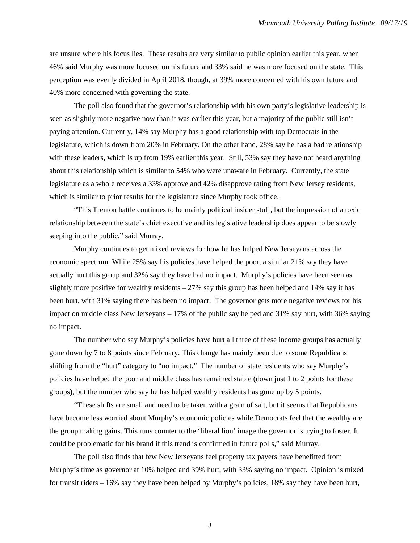are unsure where his focus lies. These results are very similar to public opinion earlier this year, when 46% said Murphy was more focused on his future and 33% said he was more focused on the state. This perception was evenly divided in April 2018, though, at 39% more concerned with his own future and 40% more concerned with governing the state.

The poll also found that the governor's relationship with his own party's legislative leadership is seen as slightly more negative now than it was earlier this year, but a majority of the public still isn't paying attention. Currently, 14% say Murphy has a good relationship with top Democrats in the legislature, which is down from 20% in February. On the other hand, 28% say he has a bad relationship with these leaders, which is up from 19% earlier this year. Still, 53% say they have not heard anything about this relationship which is similar to 54% who were unaware in February. Currently, the state legislature as a whole receives a 33% approve and 42% disapprove rating from New Jersey residents, which is similar to prior results for the legislature since Murphy took office.

"This Trenton battle continues to be mainly political insider stuff, but the impression of a toxic relationship between the state's chief executive and its legislative leadership does appear to be slowly seeping into the public," said Murray.

Murphy continues to get mixed reviews for how he has helped New Jerseyans across the economic spectrum. While 25% say his policies have helped the poor, a similar 21% say they have actually hurt this group and 32% say they have had no impact. Murphy's policies have been seen as slightly more positive for wealthy residents – 27% say this group has been helped and 14% say it has been hurt, with 31% saying there has been no impact. The governor gets more negative reviews for his impact on middle class New Jerseyans – 17% of the public say helped and 31% say hurt, with 36% saying no impact.

The number who say Murphy's policies have hurt all three of these income groups has actually gone down by 7 to 8 points since February. This change has mainly been due to some Republicans shifting from the "hurt" category to "no impact." The number of state residents who say Murphy's policies have helped the poor and middle class has remained stable (down just 1 to 2 points for these groups), but the number who say he has helped wealthy residents has gone up by 5 points.

"These shifts are small and need to be taken with a grain of salt, but it seems that Republicans have become less worried about Murphy's economic policies while Democrats feel that the wealthy are the group making gains. This runs counter to the 'liberal lion' image the governor is trying to foster. It could be problematic for his brand if this trend is confirmed in future polls," said Murray.

The poll also finds that few New Jerseyans feel property tax payers have benefitted from Murphy's time as governor at 10% helped and 39% hurt, with 33% saying no impact. Opinion is mixed for transit riders – 16% say they have been helped by Murphy's policies, 18% say they have been hurt,

3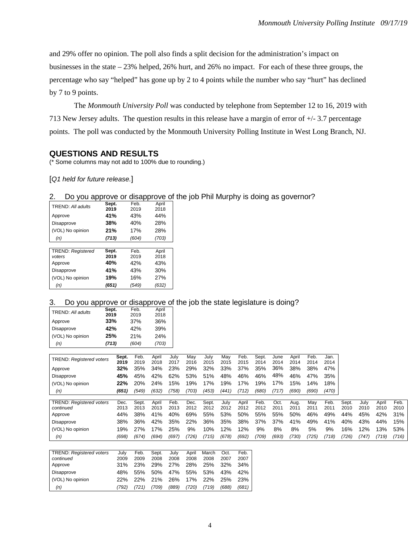and 29% offer no opinion. The poll also finds a split decision for the administration's impact on businesses in the state – 23% helped, 26% hurt, and 26% no impact. For each of these three groups, the percentage who say "helped" has gone up by 2 to 4 points while the number who say "hurt" has declined by 7 to 9 points.

The *Monmouth University Poll* was conducted by telephone from September 12 to 16, 2019 with 713 New Jersey adults. The question results in this release have a margin of error of +/- 3.7 percentage points. The poll was conducted by the Monmouth University Polling Institute in West Long Branch, NJ.

# **QUESTIONS AND RESULTS**

(\* Some columns may not add to 100% due to rounding.)

[*Q1 held for future release.*]

#### 2. Do you approve or disapprove of the job Phil Murphy is doing as governor?

| TREND: All adults        | Sept. | Feb.  | April |
|--------------------------|-------|-------|-------|
|                          | 2019  | 2019  | 2018  |
| Approve                  | 41%   | 43%   | 44%   |
| Disapprove               | 38%   | 40%   | 28%   |
| (VOL) No opinion         | 21%   | 17%   | 28%   |
| (n)                      | (713) | (604) | (703) |
|                          |       |       |       |
| <b>TREND: Registered</b> | Sept. | Feb.  | April |
| voters                   | 2019  | 2019  | 2018  |
| Approve                  | 40%   | 42%   | 43%   |
| Disapprove               | 41%   | 43%   | 30%   |
| (VOL) No opinion         | 19%   | 16%   | 27%   |
| (n)                      | (651) | (549) | (632) |

#### 3. Do you approve or disapprove of the job the state legislature is doing?

(VOL) No opinion 22% 22% 21% 26% 17% 22% 25% 23%  *(n) (792) (721) (709) (889) (720) (719) (688) (681)*

| TREND: All adults               | Sept. |               | Feb.         | April         |              |             |              |             |              |               |              |               |              |              |       |       |       |       |
|---------------------------------|-------|---------------|--------------|---------------|--------------|-------------|--------------|-------------|--------------|---------------|--------------|---------------|--------------|--------------|-------|-------|-------|-------|
|                                 | 2019  |               | 2019         | 2018          |              |             |              |             |              |               |              |               |              |              |       |       |       |       |
| Approve                         | 33%   |               | 37%          | 36%           |              |             |              |             |              |               |              |               |              |              |       |       |       |       |
| Disapprove                      | 42%   |               | 42%          | 39%           |              |             |              |             |              |               |              |               |              |              |       |       |       |       |
| (VOL) No opinion                | 25%   |               | 21%          | 24%           |              |             |              |             |              |               |              |               |              |              |       |       |       |       |
| (n)                             | (713) |               | (604)        | (703)         |              |             |              |             |              |               |              |               |              |              |       |       |       |       |
|                                 |       |               |              |               |              |             |              |             |              |               |              |               |              |              |       |       |       |       |
| <b>TREND: Registered voters</b> |       | Sept.<br>2019 | Feb.<br>2019 | April<br>2018 | July<br>2017 | May<br>2016 | July<br>2015 | May<br>2015 | Feb.<br>2015 | Sept.<br>2014 | June<br>2014 | April<br>2014 | Feb.<br>2014 | Jan.<br>2014 |       |       |       |       |
| Approve                         |       | 32%           | 35%          | 34%           | 23%          | 29%         | 32%          | 33%         | 37%          | 35%           | 36%          | 38%           | 38%          | 47%          |       |       |       |       |
| Disapprove                      |       | 45%           | 45%          | 42%           | 62%          | 53%         | 51%          | 48%         | 46%          | 46%           | 48%          | 46%           | 47%          | 35%          |       |       |       |       |
| (VOL) No opinion                |       | 22%           | 20%          | 24%           | 15%          | 19%         | 17%          | 19%         | 17%          | 19%           | 17%          | 15%           | 14%          | 18%          |       |       |       |       |
| (n)                             |       | (651)         | (549)        | (632)         | (758)        | (703)       | (453)        | (441)       | (712)        | (680)         | (717)        | (690)         | (690)        | (470)        |       |       |       |       |
| <b>TREND: Registered voters</b> |       | Dec.          | Sept.        | April         | Feb.         | Dec.        | Sept.        | July        | April        | Feb.          | Oct.         | Aug.          | May          | Feb.         | Sept. | July  | April | Feb.  |
| continued                       |       | 2013          | 2013         | 2013          | 2013         | 2012        | 2012         | 2012        | 2012         | 2012          | 2011         | 2011          | 2011         | 2011         | 2010  | 2010  | 2010  | 2010  |
| Approve                         |       | 44%           | 38%          | 41%           | 40%          | 69%         | 55%          | 53%         | 50%          | 55%           | 55%          | 50%           | 46%          | 49%          | 44%   | 45%   | 42%   | 31%   |
| Disapprove                      |       | 38%           | 36%          | 42%           | 35%          | 22%         | 36%          | 35%         | 38%          | 37%           | 37%          | 41%           | 49%          | 41%          | 40%   | 43%   | 44%   | 15%   |
| (VOL) No opinion                |       | 19%           | 27%          | 17%           | 25%          | 9%          | 10%          | 12%         | 12%          | 9%            | 8%           | 8%            | 5%           | 9%           | 16%   | 12%   | 13%   | 53%   |
| (n)                             |       | (698)         | (674)        | (694)         | (697)        | (726)       | (715)        | (678)       | (692)        | (709)         | (693)        | (730)         | (725)        | (718)        | (726) | (747) | (719) | (716) |
|                                 |       |               |              |               |              |             |              |             |              |               |              |               |              |              |       |       |       |       |
| <b>TREND: Registered voters</b> |       | July          | Feb.         | Sept.         | July         | April       | March        | Oct.        | Feb.         |               |              |               |              |              |       |       |       |       |
| continued                       |       | 2009          | 2009         | 2008          | 2008         | 2008        | 2008         | 2007        | 2007         |               |              |               |              |              |       |       |       |       |
| Approve                         |       | 31%           | 23%          | 29%           | 27%          | 28%         | 25%          | 32%         | 34%          |               |              |               |              |              |       |       |       |       |
| Disapprove                      |       | 48%           | 55%          | 50%           | 47%          | 55%         | 53%          | 43%         | 42%          |               |              |               |              |              |       |       |       |       |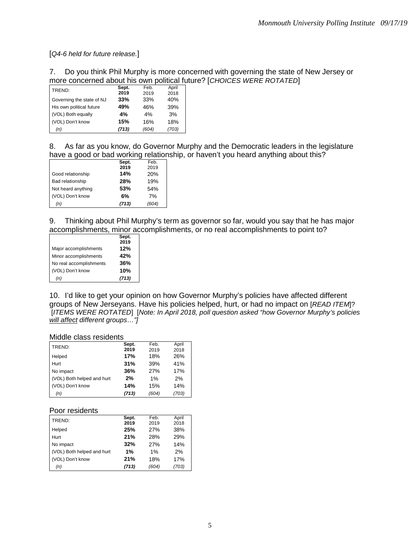[*Q4-6 held for future release.*]

# 7. Do you think Phil Murphy is more concerned with governing the state of New Jersey or more concerned about his own political future? [*CHOICES WERE ROTATED*]

| TREND:                    | Sept. | Feb.  | April |
|---------------------------|-------|-------|-------|
|                           | 2019  | 2019  | 2018  |
| Governing the state of NJ | 33%   | 33%   | 40%   |
| His own political future  | 49%   | 46%   | 39%   |
| (VOL) Both equally        | 4%    | 4%    | 3%    |
| (VOL) Don't know          | 15%   | 16%   | 18%   |
| (n)                       | (713) | (604) | (703) |

8. As far as you know, do Governor Murphy and the Democratic leaders in the legislature have a good or bad working relationship, or haven't you heard anything about this?

|                    | Sept. | Feb.  |
|--------------------|-------|-------|
|                    | 2019  | 2019  |
| Good relationship  | 14%   | 20%   |
| Bad relationship   | 28%   | 19%   |
| Not heard anything | 53%   | 54%   |
| (VOL) Don't know   | 6%    | 7%    |
| (n)                | (713) | (604) |

9. Thinking about Phil Murphy's term as governor so far, would you say that he has major accomplishments, minor accomplishments, or no real accomplishments to point to?

|                         | Sept.<br>2019 |
|-------------------------|---------------|
| Major accomplishments   | 12%           |
| Minor accomplishments   | 42%           |
| No real accomplishments | 36%           |
| (VOL) Don't know        | 10%           |
| (n)                     | (713)         |

10. I'd like to get your opinion on how Governor Murphy's policies have affected different groups of New Jerseyans. Have his policies helped, hurt, or had no impact on [*READ ITEM*]? [*ITEMS WERE ROTATED*] [*Note: In April 2018, poll question asked "how Governor Murphy's policies will affect different groups…"]*

#### Middle class residents

| TREND:                     | Sept.<br>2019 | Feb.<br>2019 | April       |
|----------------------------|---------------|--------------|-------------|
| Helped                     | 17%           | 18%          | 2018<br>26% |
| Hurt                       | 31%           | 39%          | 41%         |
| No impact                  | 36%           | 27%          | 17%         |
| (VOL) Both helped and hurt | 2%            | 1%           | 2%          |
| (VOL) Don't know           | 14%           | 15%          | 14%         |
| (n)                        | (713)         | (604)        | (703)       |

#### Poor residents

| TREND:                     | Sept. | Feb.  | April |
|----------------------------|-------|-------|-------|
|                            | 2019  | 2019  | 2018  |
| Helped                     | 25%   | 27%   | 38%   |
| Hurt                       | 21%   | 28%   | 29%   |
| No impact                  | 32%   | 27%   | 14%   |
| (VOL) Both helped and hurt | 1%    | $1\%$ | 2%    |
| (VOL) Don't know           | 21%   | 18%   | 17%   |
| (n)                        | (713) | (604) | (703) |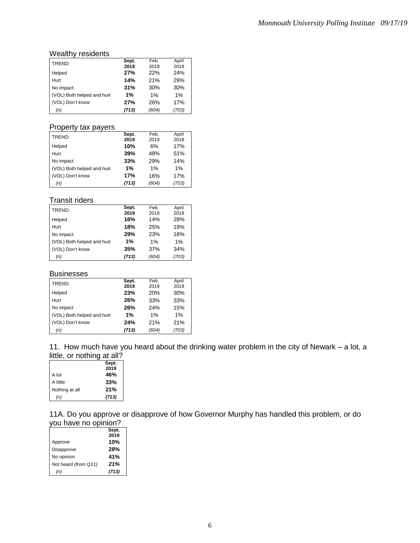# Wealthy residents

|                            | Sept. | Feb.  | April |
|----------------------------|-------|-------|-------|
| TREND:                     | 2019  | 2019  | 2018  |
| Helped                     | 27%   | 22%   | 24%   |
| Hurt                       | 14%   | 21%   | 29%   |
| No impact                  | 31%   | 30%   | 30%   |
| (VOL) Both helped and hurt | 1%    | $1\%$ | 1%    |
| (VOL) Don't know           | 27%   | 26%   | 17%   |
| (n)                        | (713) | (604) | (703) |

## Property tax payers

| TREND:                     | Sept. | Feb.  | April |
|----------------------------|-------|-------|-------|
|                            | 2019  | 2019  | 2018  |
| Helped                     | 10%   | 6%    | 17%   |
| Hurt                       | 39%   | 48%   | 51%   |
| No impact                  | 33%   | 29%   | 14%   |
| (VOL) Both helped and hurt | 1%    | 1%    | $1\%$ |
| (VOL) Don't know           | 17%   | 16%   | 17%   |
| (n)                        | (713) | (604) | (703) |

# Transit riders

| TREND:                     | Sept. | Feb.  | April |
|----------------------------|-------|-------|-------|
|                            | 2019  | 2019  | 2018  |
| Helped                     | 16%   | 14%   | 28%   |
| Hurt                       | 18%   | 25%   | 19%   |
| No impact                  | 29%   | 23%   | 18%   |
| (VOL) Both helped and hurt | 1%    | 1%    | $1\%$ |
| (VOL) Don't know           | 35%   | 37%   | 34%   |
| (n)                        | (713) | (604) | (703) |

#### **Businesses**

| TREND:                     | Sept. | Feb.  | April |
|----------------------------|-------|-------|-------|
|                            | 2019  | 2019  | 2018  |
| Helped                     | 23%   | 20%   | 30%   |
| Hurt                       | 26%   | 33%   | 33%   |
| No impact                  | 26%   | 24%   | 15%   |
| (VOL) Both helped and hurt | 1%    | $1\%$ | $1\%$ |
| (VOL) Don't know           | 24%   | 21%   | 21%   |
| (n)                        | (713) | (604) | (703) |

11. How much have you heard about the drinking water problem in the city of Newark – a lot, a little, or nothing at all?

|                | Sept. |
|----------------|-------|
|                | 2019  |
| A lot          | 46%   |
| A little       | 33%   |
| Nothing at all | 21%   |
| (n)            | (713) |

11A. Do you approve or disapprove of how Governor Murphy has handled this problem, or do you have no opinion?

|                      | Sept.<br>2019 |
|----------------------|---------------|
| Approve              | 10%           |
| Disapprove           | <b>28%</b>    |
| No opinion           | 41%           |
| Not heard (from Q11) | 21%           |
| (n)                  | (713)         |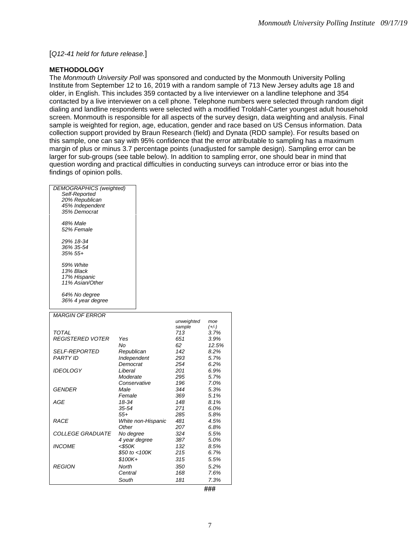[*Q12-41 held for future release.*]

#### **METHODOLOGY**

The *Monmouth University Poll* was sponsored and conducted by the Monmouth University Polling Institute from September 12 to 16, 2019 with a random sample of 713 New Jersey adults age 18 and older, in English. This includes 359 contacted by a live interviewer on a landline telephone and 354 contacted by a live interviewer on a cell phone. Telephone numbers were selected through random digit dialing and landline respondents were selected with a modified Troldahl-Carter youngest adult household screen. Monmouth is responsible for all aspects of the survey design, data weighting and analysis. Final sample is weighted for region, age, education, gender and race based on US Census information. Data collection support provided by Braun Research (field) and Dynata (RDD sample). For results based on this sample, one can say with 95% confidence that the error attributable to sampling has a maximum margin of plus or minus 3.7 percentage points (unadjusted for sample design). Sampling error can be larger for sub-groups (see table below). In addition to sampling error, one should bear in mind that question wording and practical difficulties in conducting surveys can introduce error or bias into the findings of opinion polls.

| Female<br>18-34<br>35-54<br>$55+$<br>White non-Hispanic<br>Other<br>No degree<br>4 year degree<br><\$50K<br>\$50 to <100K<br>\$100K+<br>North<br>Central<br>South | 369<br>148<br>271<br>285<br>481<br>207<br>324<br>387<br>132<br>215<br>315<br>350<br>168<br>181 | 5.1%<br>8.1%<br>6.0%<br>5.8%<br>4.5%<br>6.8%<br>5.5%<br>5.0%<br>8.5%<br>6.7%<br>5.5%<br>5.2%<br>7.6%<br>7.3% |
|-------------------------------------------------------------------------------------------------------------------------------------------------------------------|------------------------------------------------------------------------------------------------|--------------------------------------------------------------------------------------------------------------|
|                                                                                                                                                                   |                                                                                                |                                                                                                              |
|                                                                                                                                                                   |                                                                                                |                                                                                                              |
|                                                                                                                                                                   |                                                                                                |                                                                                                              |
|                                                                                                                                                                   |                                                                                                |                                                                                                              |
|                                                                                                                                                                   |                                                                                                |                                                                                                              |
|                                                                                                                                                                   |                                                                                                |                                                                                                              |
|                                                                                                                                                                   |                                                                                                |                                                                                                              |
|                                                                                                                                                                   |                                                                                                |                                                                                                              |
|                                                                                                                                                                   |                                                                                                |                                                                                                              |
|                                                                                                                                                                   |                                                                                                |                                                                                                              |
|                                                                                                                                                                   |                                                                                                |                                                                                                              |
|                                                                                                                                                                   |                                                                                                |                                                                                                              |
|                                                                                                                                                                   |                                                                                                |                                                                                                              |
|                                                                                                                                                                   |                                                                                                | 5.3%                                                                                                         |
|                                                                                                                                                                   |                                                                                                | 7.0%                                                                                                         |
|                                                                                                                                                                   |                                                                                                | 5.7%                                                                                                         |
| Liberal                                                                                                                                                           | 201                                                                                            | 6.9%                                                                                                         |
| Democrat                                                                                                                                                          | 254                                                                                            | 6.2%                                                                                                         |
| Independent                                                                                                                                                       | 293                                                                                            | 5.7%                                                                                                         |
| Republican                                                                                                                                                        | 142                                                                                            | 8.2%                                                                                                         |
| No                                                                                                                                                                | 62                                                                                             | 12.5%                                                                                                        |
| Yes                                                                                                                                                               | 651                                                                                            | 3.9%                                                                                                         |
|                                                                                                                                                                   |                                                                                                | 3.7%                                                                                                         |
|                                                                                                                                                                   |                                                                                                | moe<br>$(+/-)$                                                                                               |
|                                                                                                                                                                   |                                                                                                |                                                                                                              |
|                                                                                                                                                                   |                                                                                                |                                                                                                              |
|                                                                                                                                                                   |                                                                                                |                                                                                                              |
|                                                                                                                                                                   |                                                                                                |                                                                                                              |
|                                                                                                                                                                   |                                                                                                |                                                                                                              |
|                                                                                                                                                                   |                                                                                                |                                                                                                              |
|                                                                                                                                                                   |                                                                                                |                                                                                                              |
|                                                                                                                                                                   |                                                                                                |                                                                                                              |
|                                                                                                                                                                   |                                                                                                |                                                                                                              |
|                                                                                                                                                                   |                                                                                                |                                                                                                              |
|                                                                                                                                                                   |                                                                                                |                                                                                                              |
|                                                                                                                                                                   |                                                                                                |                                                                                                              |
|                                                                                                                                                                   |                                                                                                |                                                                                                              |
|                                                                                                                                                                   |                                                                                                |                                                                                                              |
|                                                                                                                                                                   |                                                                                                |                                                                                                              |
|                                                                                                                                                                   |                                                                                                |                                                                                                              |
|                                                                                                                                                                   |                                                                                                |                                                                                                              |
|                                                                                                                                                                   | <b>DEMOGRAPHICS</b> (weighted)<br>Moderate<br>Conservative<br>Male                             | unweighted<br>sample<br>713<br>295<br>196<br>344                                                             |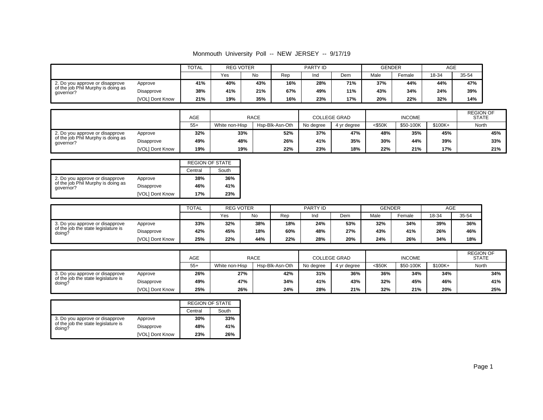|                                                 |                 | <b>TOTAL</b> | <b>REG VOTER</b> |     | PARTY ID |     |            | <b>GENDER</b> |        | AGE   |       |
|-------------------------------------------------|-----------------|--------------|------------------|-----|----------|-----|------------|---------------|--------|-------|-------|
|                                                 |                 |              | Yes              | No  | Rep      | Ind | <b>Dem</b> | Male          | Female | 18-34 | 35-54 |
| 2. Do you approve or disapprove                 | Approve         | 41%          | 40%              | 43% | 16%      | 28% | 71%        | 37%           | 44%    | 44%   | 47%   |
| of the job Phil Murphy is doing as<br>qovernor? | Disapprove      | 38%          | 41%              | 21% | 67%      | 49% | 11%        | 43%           | 34%    | 24%   | 39%   |
|                                                 | [VOL] Dont Know | 21%          | 19%              | 35% | 16%      | 23% | 17%        | 20%           | 22%    | 32%   | 14%   |

|                                                 |                 | <b>AGE</b> | <b>RACE</b><br>Hsp-Blk-Asn-Oth<br>White non-Hisp |     |           | <b>COLLEGE GRAD</b> |        | <b>INCOME</b> |       | <b>REGION OF</b><br><b>STATE</b> |
|-------------------------------------------------|-----------------|------------|--------------------------------------------------|-----|-----------|---------------------|--------|---------------|-------|----------------------------------|
|                                                 |                 | $55+$      |                                                  |     | No dearee | 4 vr dearee         | <\$50K | \$50-100K     | North |                                  |
| 2. Do you approve or disapprove                 | Approve         | 32%        | 33%                                              | 52% | 37%       | 47%                 | 48%    | 35%           | 45%   | 45%                              |
| of the job Phil Murphy is doing as<br>qovernor? | Disapprove      | 49%        | 48%                                              | 26% | 41%       | 35%                 | 30%    | 44%           | 39%   | 33%                              |
|                                                 | [VOL] Dont Know | 19%        | 19%                                              | 22% | 23%       | 18%                 | 22%    | 21%           | 17%   | 21%                              |

|                                                 |                 | <b>REGION OF STATE</b> |       |
|-------------------------------------------------|-----------------|------------------------|-------|
|                                                 |                 | Central                | South |
| 2. Do you approve or disapprove                 | Approve         | 38%                    | 36%   |
| of the job Phil Murphy is doing as<br>qovernor? | Disapprove      | 46%                    | 41%   |
|                                                 | [VOL] Dont Know | 17%                    | 23%   |

|                                               |                 | <b>TOTAL</b> |     | <b>REG VOTER</b> |     | PARTY ID |     |      | <b>GENDER</b> | AGE   |       |
|-----------------------------------------------|-----------------|--------------|-----|------------------|-----|----------|-----|------|---------------|-------|-------|
|                                               |                 |              | Yes | No               | Rep | Ind      | Dem | Male | Female        | 18-34 | 35-54 |
| 3. Do you approve or disapprove               | Approve         | 33%          | 32% | 38%              | 18% | 24%      | 53% | 32%  | 34%           | 39%   | 36%   |
| of the job the state legislature is<br>doing? | Disapprove      | 42%          | 45% | 18%              | 60% | 48%      | 27% | 43%  | 41%           | 26%   | 46%   |
|                                               | [VOL] Dont Know | 25%          | 22% | 44%              | 22% | 28%      | 20% | 24%  | 26%           | 34%   | 18%   |

|                                               |                 | <b>AGE</b> |                | RACE            |     | <b>COLLEGE GRAD</b> |                                     | <b>INCOME</b> |     | <b>REGION OF</b><br><b>STATE</b> |
|-----------------------------------------------|-----------------|------------|----------------|-----------------|-----|---------------------|-------------------------------------|---------------|-----|----------------------------------|
|                                               |                 | $55+$      | White non-Hisp | Hsp-Blk-Asn-Oth |     | 4 vr dearee         | $<$ \$50K<br>$$100K +$<br>\$50-100K |               |     | North                            |
| 3. Do you approve or disapprove               | Approve         | 26%        | 27%            | 42%             | 31% | 36%                 | 36%                                 | 34%           | 34% | 34%                              |
| of the job the state legislature is<br>doing? | Disapprove      | 49%        | 47%            | 34%             | 41% | 43%                 | 32%                                 | 45%           | 46% | 41%                              |
|                                               | [VOL] Dont Know | 25%        | 26%            | 24%             | 28% | 21%                 | 32%                                 | 21%           | 20% | 25%                              |

|                                               |                 | <b>REGION OF STATE</b> |       |
|-----------------------------------------------|-----------------|------------------------|-------|
|                                               |                 | Central                | South |
| 3. Do you approve or disapprove               | Approve         | 30%                    | 33%   |
| of the job the state legislature is<br>doing? | Disapprove      | 48%                    | 41%   |
|                                               | [VOL] Dont Know | 23%                    | 26%   |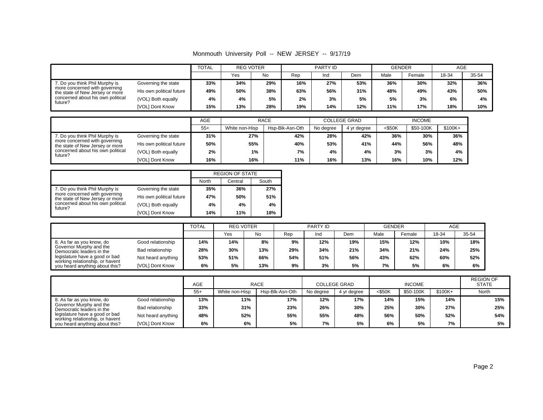Monmouth University Poll -- NEW JERSEY -- 9/17/19

|                                                                  |                          | <b>TOTAL</b> | <b>REG VOTER</b> |     | PARTY ID |     |     | <b>GENDER</b> |        | AGE   |       |
|------------------------------------------------------------------|--------------------------|--------------|------------------|-----|----------|-----|-----|---------------|--------|-------|-------|
|                                                                  |                          |              | Yes              | No  | Rep      | Ind | Dem | Male          | Female | 18-34 | 35-54 |
| 7. Do you think Phil Murphy is                                   | Governing the state      | 33%          | 34%              | 29% | 16%      | 27% | 53% | 36%           | 30%    | 32%   | 36%   |
| more concerned with governing<br>the state of New Jersey or more | His own political future | 49%          | 50%              | 38% | 63%      | 56% | 31% | 48%           | 49%    | 43%   | 50%   |
| concerned about his own political<br>future?                     | (VOL) Both equally       | 4%           | 4%               | 5%  | 2%       | 3%  | 5%  | 5%            | 3%     | 6%    | 4%    |
|                                                                  | [VOL] Dont Know          | 15%          | 13%              | 28% | 19%      | 14% | 12% | 11%           | 17%    | 18%   | 10%   |

|                                                                                                                                                    |                          | AGE   | <b>RACE</b>    |                 |           | <b>COLLEGE GRAD</b> | <b>INCOME</b> |           |         |
|----------------------------------------------------------------------------------------------------------------------------------------------------|--------------------------|-------|----------------|-----------------|-----------|---------------------|---------------|-----------|---------|
|                                                                                                                                                    |                          | $55+$ | White non-Hisp | Hsp-Blk-Asn-Oth | No dearee | 4 yr degree         | $<$ \$50K     | \$50-100K | \$100K+ |
| 7. Do you think Phil Murphy is<br>more concerned with governing<br>the state of New Jersey or more<br>concerned about his own political<br>future? | Governing the state      | 31%   | 27%            | 42%             | 28%       | 42%                 | 36%           | 30%       | 36%     |
|                                                                                                                                                    | His own political future | 50%   | 55%            | 40%             | 53%       | 41%                 | 44%           | 56%       | 48%     |
|                                                                                                                                                    | (VOL) Both equally       | 2%    | 1%             | 7%              | 4%        | 4%                  | 3%            | 3%        | 4%      |
|                                                                                                                                                    | <b>IVOLI Dont Know</b>   | 16%   | 16%            | 11%             | 16%       | 13%                 | 16%           | 10%       | 12%     |

|                                                                  |                          |       | <b>REGION OF STATE</b> |       |
|------------------------------------------------------------------|--------------------------|-------|------------------------|-------|
|                                                                  |                          | North | Central                | South |
| 7. Do you think Phil Murphy is                                   | Governing the state      | 35%   | 36%                    | 27%   |
| more concerned with governing<br>the state of New Jersey or more | His own political future | 47%   | 50%                    | 51%   |
| concerned about his own political<br>future?                     | (VOL) Both equally       | 4%    | 4%                     | 4%    |
|                                                                  | [VOL] Dont Know          | 14%   | 11%                    | 18%   |

|                                                                   |                    | <b>TOTAL</b> | <b>REG VOTER</b> |     | <b>PARTY ID</b> |     |     | <b>GENDER</b> |        | AGE   |       |
|-------------------------------------------------------------------|--------------------|--------------|------------------|-----|-----------------|-----|-----|---------------|--------|-------|-------|
|                                                                   |                    |              | Yes              | No  | Rep             | Ind | Dem | Male          | Female | 18-34 | 35-54 |
| 8. As far as you know, do                                         | Good relationship  | 14%          | 14%              | 8%  | 9%              | 12% | 19% | 15%           | 12%    | 10%   | 18%   |
| Governor Murphy and the<br>Democratic leaders in the              | Bad relationship   | 28%          | 30%              | 13% | 29%             | 34% | 21% | 34%           | 21%    | 24%   | 25%   |
| legislature have a good or bad<br>working relationship, or havent | Not heard anything | 53%          | 51%              | 66% | 54%             | 51% | 56% | 43%           | 62%    | 60%   | 52%   |
| you heard anything about this?                                    | [VOL] Dont Know    | 6%           | 5%               | 13% | 9%              | 3%  | 5%  | 7%            | 5%     | 6%    | 6%    |

|                                                                   |                    | AGE   | <b>RACE</b>    |                 |           | <b>COLLEGE GRAD</b> |           | <b>INCOME</b> | <b>REGION OF</b><br><b>STATE</b> |       |
|-------------------------------------------------------------------|--------------------|-------|----------------|-----------------|-----------|---------------------|-----------|---------------|----------------------------------|-------|
|                                                                   |                    | $55+$ | White non-Hisp | Hsp-Blk-Asn-Oth | No degree | 4 yr degree         | $<$ \$50K | \$50-100K     | $$100K+$                         | North |
| 8. As far as you know, do                                         | Good relationship  | 13%   | 11%            | 17%             | 12%       | 17%                 | 14%       | 15%           | 14%                              | 15%   |
| Governor Murphy and the<br>Democratic leaders in the              | Bad relationship   | 33%   | 31%            | 23%             | 26%       | 30%                 | 25%       | 30%           | 27%                              | 25%   |
| legislature have a good or bad<br>working relationship, or havent | Not heard anything | 48%   | 52%            | 55%             | 55%       | 48%                 | 56%       | 50%           | 52%                              | 54%   |
| you heard anything about this?                                    | [VOL] Dont Know    | 6%    | 6%             | 5%              | 7%        | 5%                  | 6%        | 5%            | 7%                               | 5%    |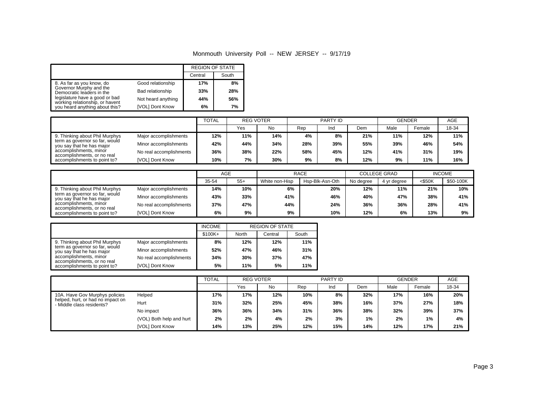|                                                                   |                    | <b>REGION OF STATE</b> |       |
|-------------------------------------------------------------------|--------------------|------------------------|-------|
|                                                                   |                    | Central                | South |
| 8. As far as you know, do                                         | Good relationship  | 17%                    | 8%    |
| Governor Murphy and the<br>Democratic leaders in the              | Bad relationship   | 33%                    | 28%   |
| legislature have a good or bad<br>working relationship, or havent | Not heard anything | 44%                    | 56%   |
| you heard anything about this?                                    | [VOL] Dont Know    | 6%                     | 7%    |

|                                                             |                         |     | <b>REG VOTER</b> |     |     | PARTY ID |     | <b>GENDER</b> |        | <b>AGE</b> |
|-------------------------------------------------------------|-------------------------|-----|------------------|-----|-----|----------|-----|---------------|--------|------------|
|                                                             |                         |     | Yes              | No  | Rep | Ind      | Dem | Male          | Female | 18-34      |
| 9. Thinking about Phil Murphys                              | Major accomplishments   | 12% | 11%              | 14% | 4%  | 8%       | 21% | 11%           | 12%    | 11%        |
| term as governor so far, would<br>you say that he has major | Minor accomplishments   | 42% | 44%              | 34% | 28% | 39%      | 55% | 39%           | 46%    | 54%        |
| accomplishments, minor<br>accomplishments, or no real       | No real accomplishments | 36% | 38%              | 22% | 58% | 45%      | 12% | 41%           | 31%    | 19%        |
| accomplishments to point to?                                | [VOL] Dont Know         | 10% | 7%               | 30% | 9%  | 8%       | 12% | 9%            | 11%    | 16%        |

|                                                                                       |                         | AGE   |       |                | <b>RACE</b>     |           | <b>COLLEGE GRAD</b> | <b>INCOME</b> |           |
|---------------------------------------------------------------------------------------|-------------------------|-------|-------|----------------|-----------------|-----------|---------------------|---------------|-----------|
|                                                                                       |                         | 35-54 | $55+$ | White non-Hisp | Hsp-Blk-Asn-Oth | No degree | 4 yr degree         | $<$ \$50K     | \$50-100K |
| 9. Thinking about Phil Murphys                                                        | Major accomplishments   | 14%   | 10%   | 6%             | 20%             | 12%       | 11%                 | 21%           | 10%       |
| term as governor so far, would<br>you say that he has major                           | Minor accomplishments   | 43%   | 33%   | 41%            | 46%             | 40%       | 47%                 | 38%           | 41%       |
| accomplishments, minor<br>accomplishments, or no real<br>accomplishments to point to? | No real accomplishments | 37%   | 47%   | 44%            | 24%             | 36%       | 36%                 | 28%           | 41%       |
|                                                                                       | [VOL] Dont Know         | 6%    | 9%    | 9%             | 10%             | 12%       | 6%                  | 13%           | 9%        |

|                                                             |                         | <b>INCOME</b> |       | <b>REGION OF STATE</b> |       |
|-------------------------------------------------------------|-------------------------|---------------|-------|------------------------|-------|
|                                                             |                         | $$100K+$      | North | Central                | South |
| 9. Thinking about Phil Murphys                              | Major accomplishments   | 8%            | 12%   | 12%                    | 11%   |
| term as governor so far, would<br>you say that he has major | Minor accomplishments   | 52%           | 47%   | 46%                    | 31%   |
| accomplishments, minor                                      | No real accomplishments | 34%           | 30%   | 37%                    | 47%   |
| accomplishments, or no real<br>accomplishments to point to? | [VOL] Dont Know         | 5%            | 11%   | 5%                     | 11%   |

|                                                                |                          | <b>TOTAL</b> | <b>REG VOTER</b><br>PARTY ID |     | <b>GENDER</b> |     | AGE   |      |        |       |
|----------------------------------------------------------------|--------------------------|--------------|------------------------------|-----|---------------|-----|-------|------|--------|-------|
|                                                                |                          |              | Yes                          | No  | Rep           | Ind | Dem   | Male | Female | 18-34 |
| 10A. Have Gov Murphys policies                                 | Helped                   | 17%          | 17%                          | 12% | 10%           | 8%  | 32%   | 17%  | 16%    | 20%   |
| helped, hurt, or had no impact on<br>- Middle class residents? | Hurt                     | 31%          | 32%                          | 25% | 45%           | 38% | 16%   | 37%  | 27%    | 18%   |
|                                                                | No impact                | 36%          | 36%                          | 34% | 31%           | 36% | 38%   | 32%  | 39%    | 37%   |
|                                                                | (VOL) Both help and hurt | 2%           | 2%                           | 4%  | 2%            | 3%  | $1\%$ | 2%   | 1%     | 4%    |
|                                                                | [VOL] Dont Know          | 14%          | 13%                          | 25% | 12%           | 15% | 14%   | 12%  | 17%    | 21%   |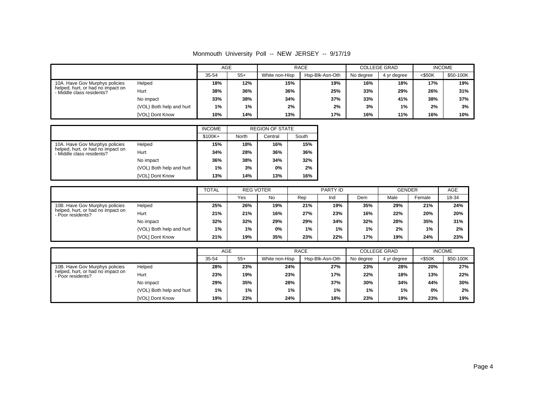|                                                                |                          | AGE   |       |                | <b>RACE</b>     |           | <b>COLLEGE GRAD</b> | <b>INCOME</b> |           |
|----------------------------------------------------------------|--------------------------|-------|-------|----------------|-----------------|-----------|---------------------|---------------|-----------|
|                                                                |                          | 35-54 | $55+$ | White non-Hisp | Hsp-Blk-Asn-Oth | No degree | 4 yr degree         | $<$ \$50K     | \$50-100K |
| 10A. Have Gov Murphys policies                                 | Helped                   | 18%   | 12%   | 15%            | 19%             | 16%       | 18%                 | 17%           | 19%       |
| helped, hurt, or had no impact on<br>- Middle class residents? | Hurt                     | 38%   | 36%   | 36%            | 25%             | 33%       | 29%                 | 26%           | 31%       |
|                                                                | No impact                | 33%   | 38%   | 34%            | 37%             | 33%       | 41%                 | 38%           | 37%       |
|                                                                | (VOL) Both help and hurt | 1%    | 1%    | 2%             | 2%              | 3%        | 1%                  | 2%            | 3%        |
|                                                                | <b>IVOLI Dont Know</b>   | 10%   | 14%   | 13%            | 17%             | 16%       | 11%                 | 16%           | 10%       |

|                                                                        |                          | <b>INCOME</b> |       | <b>REGION OF STATE</b> |       |
|------------------------------------------------------------------------|--------------------------|---------------|-------|------------------------|-------|
|                                                                        |                          | $$100K +$     | North | Central                | South |
| 10A. Have Gov Murphys policies                                         | Helped                   | 15%           | 18%   | 16%                    | 15%   |
| helped, hurt, or had no impact on<br>Hurt<br>- Middle class residents? |                          | 34%           | 28%   | 36%                    | 36%   |
|                                                                        | No impact                | 36%           | 38%   | 34%                    | 32%   |
|                                                                        | (VOL) Both help and hurt | 1%            | 3%    | 0%                     | 2%    |
|                                                                        | <b>IVOLI Dont Know</b>   | 13%           | 14%   | 13%                    | 16%   |

|                                                        |                          | <b>TOTAL</b> | <b>REG VOTER</b> |     | PARTY ID |       |     | <b>GENDER</b> |        | AGE   |
|--------------------------------------------------------|--------------------------|--------------|------------------|-----|----------|-------|-----|---------------|--------|-------|
|                                                        |                          |              | Yes              | No  | Rep      | Ind   | Dem | Male          | Female | 18-34 |
| 10B. Have Gov Murphys policies                         | Helped                   | 25%          | 26%              | 19% | 21%      | 19%   | 35% | 29%           | 21%    | 24%   |
| helped, hurt, or had no impact on<br>- Poor residents? | Hurt                     | 21%          | 21%              | 16% | 27%      | 23%   | 16% | 22%           | 20%    | 20%   |
|                                                        | No impact                | 32%          | 32%              | 29% | 29%      | 34%   | 32% | 28%           | 35%    | 31%   |
|                                                        | (VOL) Both help and hurt | $1\%$        | 1%               | 0%  | 1%       | $1\%$ | 1%  | 2%            | 1%     | 2%    |
|                                                        | [VOL] Dont Know          | 21%          | 19%              | 35% | 23%      | 22%   | 17% | 19%           | 24%    | 23%   |

|                                                        |                          | AGE   |       |                | <b>RACE</b>     |           | <b>COLLEGE GRAD</b> | <b>INCOME</b> |           |
|--------------------------------------------------------|--------------------------|-------|-------|----------------|-----------------|-----------|---------------------|---------------|-----------|
|                                                        |                          | 35-54 | $55+$ | White non-Hisp | Hsp-Blk-Asn-Oth | No degree | 4 yr degree         | $<$ \$50K     | \$50-100K |
| 10B. Have Gov Murphys policies                         | Helped                   | 28%   | 23%   | 24%            | 27%             | 23%       | 28%                 | 20%           | 27%       |
| helped, hurt, or had no impact on<br>- Poor residents? | Hurt                     | 23%   | 19%   | 23%            | 17%             | 22%       | 18%                 | 13%           | 22%       |
|                                                        | No impact                | 29%   | 35%   | 28%            | 37%             | 30%       | 34%                 | 44%           | 30%       |
|                                                        | (VOL) Both help and hurt | 1%    | 1%    | 1%             | 1%              | $1\%$     | 1%                  | 0%            | 2%        |
|                                                        | [VOL] Dont Know          | 19%   | 23%   | 24%            | 18%             | 23%       | 19%                 | 23%           | 19%       |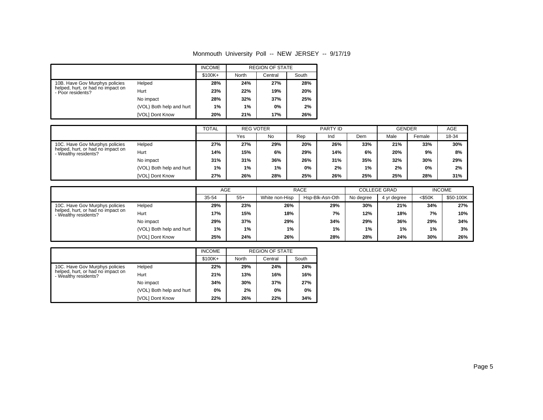|                                                                |                          | <b>INCOME</b> |       | <b>REGION OF STATE</b> |       |
|----------------------------------------------------------------|--------------------------|---------------|-------|------------------------|-------|
|                                                                |                          | $$100K+$      | North | Central                | South |
| 10B. Have Gov Murphys policies                                 | Helped                   | 28%           | 24%   | 27%                    | 28%   |
| helped, hurt, or had no impact on<br>Hurt<br>- Poor residents? |                          | 23%           | 22%   | 19%                    | 20%   |
|                                                                | No impact                | 28%           | 32%   | 37%                    | 25%   |
|                                                                | (VOL) Both help and hurt | 1%            | 1%    | 0%                     | 2%    |
|                                                                | <b>IVOLI Dont Know</b>   | 20%           | 21%   | 17%                    | 26%   |

|                                                           |                          | <b>TOTAL</b> | <b>REG VOTER</b> |       |     | PARTY ID |     | <b>GENDER</b> |        | AGE   |
|-----------------------------------------------------------|--------------------------|--------------|------------------|-------|-----|----------|-----|---------------|--------|-------|
|                                                           |                          |              | Yes              | No    | Rep | Ind      | Dem | Male          | Female | 18-34 |
| 10C. Have Gov Murphys policies                            | Helped                   | 27%          | 27%              | 29%   | 20% | 26%      | 33% | 21%           | 33%    | 30%   |
| helped, hurt, or had no impact on<br>- Wealthy residents? | Hurt                     | 14%          | 15%              | 6%    | 29% | 14%      | 6%  | 20%           | 9%     | 8%    |
|                                                           | No impact                | 31%          | 31%              | 36%   | 26% | 31%      | 35% | 32%           | 30%    | 29%   |
|                                                           | (VOL) Both help and hurt | $1\%$        | $1\%$            | $1\%$ | 0%  | 2%       | 1%  | 2%            | 0%     | 2%    |
|                                                           | [VOL] Dont Know          | 27%          | 26%              | 28%   | 25% | 26%      | 25% | 25%           | 28%    | 31%   |

|                                                           |                          |            | AGE   |                | <b>RACE</b>     | <b>COLLEGE GRAD</b> |             | <b>INCOME</b> |           |
|-----------------------------------------------------------|--------------------------|------------|-------|----------------|-----------------|---------------------|-------------|---------------|-----------|
|                                                           |                          | 35-54      | $55+$ | White non-Hisp | Hsp-Blk-Asn-Oth | No degree           | 4 yr degree | $<$ \$50K     | \$50-100K |
| 10C. Have Gov Murphys policies                            | Helped                   | 29%        | 23%   | 26%            | 29%             | 30%                 | 21%         | 34%           | 27%       |
| helped, hurt, or had no impact on<br>- Wealthy residents? | Hurt                     | 15%<br>17% |       | 18%            | 7%              | 12%                 | 18%         | 7%            | 10%       |
|                                                           | No impact                | 29%        | 37%   | 29%            | 34%             | 29%                 | 36%         | 29%           | 34%       |
|                                                           | (VOL) Both help and hurt | 1%         | 1%    | 1%             | 1%              | 1%                  | 1%          | 1%            | 3%        |
|                                                           | [VOL] Dont Know          | 25%        | 24%   | 26%            | 28%             | 28%                 | 24%         | 30%           | 26%       |

|                                                                   |                          | <b>INCOME</b> |       | <b>REGION OF STATE</b> |       |
|-------------------------------------------------------------------|--------------------------|---------------|-------|------------------------|-------|
|                                                                   |                          | $$100K +$     | North | Central                | South |
| 10C. Have Gov Murphys policies                                    | Helped                   | 22%           | 29%   | 24%                    | 24%   |
| helped, hurt, or had no impact on<br>Hurt<br>- Wealthy residents? |                          | 21%           | 13%   | 16%                    | 16%   |
|                                                                   | No impact                | 34%           | 30%   | 37%                    | 27%   |
|                                                                   | (VOL) Both help and hurt | 0%            | 2%    | 0%                     | 0%    |
|                                                                   | <b>IVOLI Dont Know</b>   | 22%           | 26%   | 22%                    | 34%   |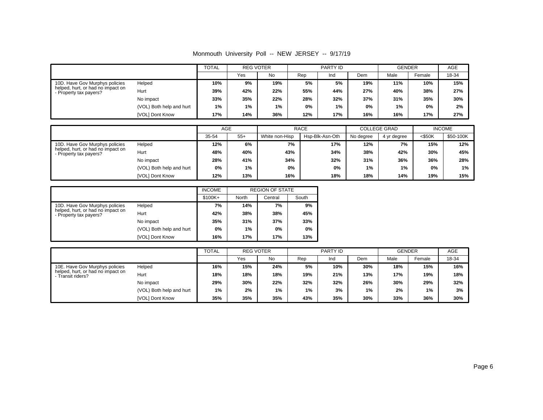|                                                                     |                          | <b>TOTAL</b> | <b>REG VOTER</b> |           | PARTY ID |     |     | <b>GENDER</b> |        | <b>AGE</b> |
|---------------------------------------------------------------------|--------------------------|--------------|------------------|-----------|----------|-----|-----|---------------|--------|------------|
|                                                                     |                          |              | Yes              | <b>No</b> | Rep      | Ind | Dem | Male          | Female | 18-34      |
| 10D. Have Gov Murphys policies                                      | Helped                   | 10%          | 9%               | 19%       | 5%       | 5%  | 19% | 11%           | 10%    | 15%        |
| helped, hurt, or had no impact on<br>Hurt<br>- Property tax payers? |                          | 39%          | 42%              | 22%       | 55%      | 44% | 27% | 40%           | 38%    | 27%        |
|                                                                     | No impact                | 33%          | 35%              | 22%       | 28%      | 32% | 37% | 31%           | 35%    | 30%        |
|                                                                     | (VOL) Both help and hurt | 1%           | $1\%$            | 1%        | 0%       | 1%  | 0%  | 1%            | 0%     | 2%         |
|                                                                     | [VOL] Dont Know          | 17%          | 14%              | 36%       | 12%      | 17% | 16% | 16%           | 17%    | 27%        |

|                                                             |                          | AGE        |       |                | <b>RACE</b>     | <b>COLLEGE GRAD</b> |             | <b>INCOME</b> |           |
|-------------------------------------------------------------|--------------------------|------------|-------|----------------|-----------------|---------------------|-------------|---------------|-----------|
|                                                             |                          | 35-54      | $55+$ | White non-Hisp | Hsp-Blk-Asn-Oth | No degree           | 4 yr degree | $<$ \$50K     | \$50-100K |
| 10D. Have Gov Murphys policies                              | Helped                   | 12%        | 6%    | 7%             | 17%             | 12%                 | 7%          | 15%           | 12%       |
| helped, hurt, or had no impact on<br>- Property tax payers? | Hurt                     | 40%<br>48% |       | 43%            | 34%             | 38%                 | 42%         | 30%           | 45%       |
|                                                             | No impact                | 28%        | 41%   | 34%            | 32%             | 31%                 | 36%         | 36%           | 28%       |
|                                                             | (VOL) Both help and hurt | $0\%$      | 1%    | 0%             | 0%              | $1\%$               | 1%          | 0%            | 1%        |
|                                                             | [VOL] Dont Know          | 12%        | 13%   | 16%            | 18%             | 18%                 | 14%         | 19%           | 15%       |

|                                                             |                          | <b>INCOME</b> |       | <b>REGION OF STATE</b> |       |
|-------------------------------------------------------------|--------------------------|---------------|-------|------------------------|-------|
|                                                             |                          | $$100K +$     | North | Central                | South |
| 10D. Have Gov Murphys policies                              | Helped                   | 7%            | 14%   | 7%                     | 9%    |
| helped, hurt, or had no impact on<br>- Property tax payers? | Hurt                     | 42%           | 38%   | 38%                    | 45%   |
|                                                             | No impact                | 35%           | 31%   | 37%                    | 33%   |
|                                                             | (VOL) Both help and hurt | 0%            | 1%    | 0%                     | 0%    |
|                                                             | <b>IVOLI Dont Know</b>   | 16%           | 17%   | 17%                    | 13%   |

|                                                      |                          | <b>TOTAL</b> | <b>REG VOTER</b> |     |     | PARTY ID |     | <b>GENDER</b> |        | <b>AGE</b> |
|------------------------------------------------------|--------------------------|--------------|------------------|-----|-----|----------|-----|---------------|--------|------------|
|                                                      |                          |              | Yes              | No  | Rep | Ind      | Dem | Male          | Female | 18-34      |
| 10E. Have Gov Murphys policies                       | Helped                   | 16%          | 15%              | 24% | 5%  | 10%      | 30% | 18%           | 15%    | 16%        |
| helped, hurt, or had no impact on<br>Transit riders? | Hurt                     | 18%          | 18%              | 18% | 19% | 21%      | 13% | 17%           | 19%    | 18%        |
|                                                      | No impact                | 29%          | 30%              | 22% | 32% | 32%      | 26% | 30%           | 29%    | 32%        |
|                                                      | (VOL) Both help and hurt | 1%           | 2%               | 1%  | 1%  | 3%       | 1%  | 2%            | 1%     | 3%         |
|                                                      | [VOL] Dont Know          | 35%          | 35%              | 35% | 43% | 35%      | 30% | 33%           | 36%    | 30%        |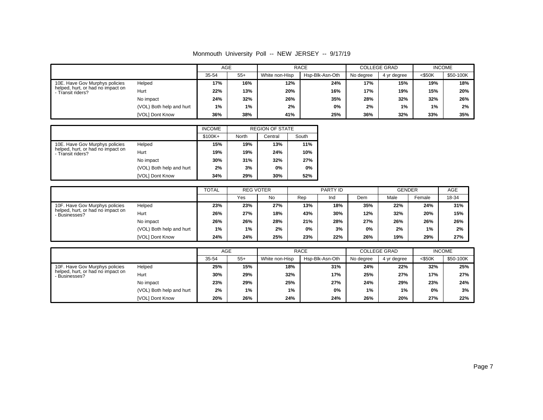|                                                      |                          | AGE   |       |                | <b>RACE</b>     | <b>COLLEGE GRAD</b> |             |           | <b>INCOME</b> |
|------------------------------------------------------|--------------------------|-------|-------|----------------|-----------------|---------------------|-------------|-----------|---------------|
|                                                      |                          | 35-54 | $55+$ | White non-Hisp | Hsp-Blk-Asn-Oth | No degree           | 4 yr degree | $<$ \$50K | \$50-100K     |
| 10E. Have Gov Murphys policies                       | Helped                   | 17%   | 16%   | 12%            | 24%             | 17%                 | 15%         | 19%       | 18%           |
| helped, hurt, or had no impact on<br>Transit riders? | Hurt                     | 22%   | 13%   | 20%            | 16%             | 17%                 | 19%         | 15%       | 20%           |
|                                                      | No impact                | 24%   | 32%   | 26%            | 35%             | 28%                 | 32%         | 32%       | 26%           |
|                                                      | (VOL) Both help and hurt | 1%    | 1%    | 2%             | 0%              | 2%                  | 1%          | $1\%$     | 2%            |
|                                                      | <b>IVOLI Dont Know</b>   | 36%   | 38%   | 41%            | 25%             | 36%                 | 32%         | 33%       | 35%           |

|                                                                |                          | <b>INCOME</b> |       | <b>REGION OF STATE</b> |       |
|----------------------------------------------------------------|--------------------------|---------------|-------|------------------------|-------|
|                                                                |                          | $$100K +$     | North | Central                | South |
| 10E. Have Gov Murphys policies                                 | Helped                   | 15%           | 19%   | 13%                    | 11%   |
| helped, hurt, or had no impact on<br>Hurt<br>- Transit riders? |                          | 19%           | 19%   | 24%                    | 10%   |
|                                                                | No impact                | 30%           | 31%   | 32%                    | 27%   |
|                                                                | (VOL) Both help and hurt | 2%            | 3%    | 0%                     | $0\%$ |
|                                                                | <b>IVOLI Dont Know</b>   | 34%           | 29%   | 30%                    | 52%   |

|                                                                                                                                               |                 | <b>TOTAL</b> | <b>REG VOTER</b> |           | <b>PARTY ID</b> |     |     | <b>GENDER</b> |        | AGE   |
|-----------------------------------------------------------------------------------------------------------------------------------------------|-----------------|--------------|------------------|-----------|-----------------|-----|-----|---------------|--------|-------|
|                                                                                                                                               |                 |              | Yes              | <b>No</b> | Rep             | Ind | Dem | Male          | Female | 18-34 |
| Helped<br>10F. Have Gov Murphys policies<br>helped, hurt, or had no impact on<br>Hurt<br>Businesses?<br>No impact<br>(VOL) Both help and hurt | 23%             | 23%          | 27%              | 13%       | 18%             | 35% | 22% | 24%           | 31%    |       |
|                                                                                                                                               |                 | 26%          | 27%              | 18%       | 43%             | 30% | 12% | 32%           | 20%    | 15%   |
|                                                                                                                                               |                 | 26%          | 26%              | 28%       | 21%             | 28% | 27% | 26%           | 26%    | 26%   |
|                                                                                                                                               |                 | 1%           | 1%               | 2%        | 0%              | 3%  | 0%  | 2%            | 1%     | 2%    |
|                                                                                                                                               | [VOL] Dont Know | 24%          | 24%              | 25%       | 23%             | 22% | 26% | 19%           | 29%    | 27%   |

|                                                  |                          | AGE        |       |                | <b>RACE</b>     | <b>COLLEGE GRAD</b> |             |           | <b>INCOME</b> |
|--------------------------------------------------|--------------------------|------------|-------|----------------|-----------------|---------------------|-------------|-----------|---------------|
|                                                  |                          | 35-54      | $55+$ | White non-Hisp | Hsp-Blk-Asn-Oth | No degree           | 4 yr degree | $<$ \$50K | \$50-100K     |
| 10F. Have Gov Murphys policies                   | Helped                   | 25%        | 15%   | 18%            | 31%             | 24%                 | 22%         | 32%       | 25%           |
| helped, hurt, or had no impact on<br>Businesses? | Hurt                     | 30%<br>29% |       | 32%            | 17%             | 25%                 | 27%         | 17%       | 27%           |
|                                                  | No impact                | 23%        | 29%   | 25%            | 27%             | 24%                 | 29%         | 23%       | 24%           |
|                                                  | (VOL) Both help and hurt | 2%         | 1%    | 1%             | 0%              | 1%                  | 1%          | 0%        | 3%            |
|                                                  | [VOL] Dont Know          | 20%        | 26%   | 24%            | 24%             | 26%                 | 20%         | 27%       | 22%           |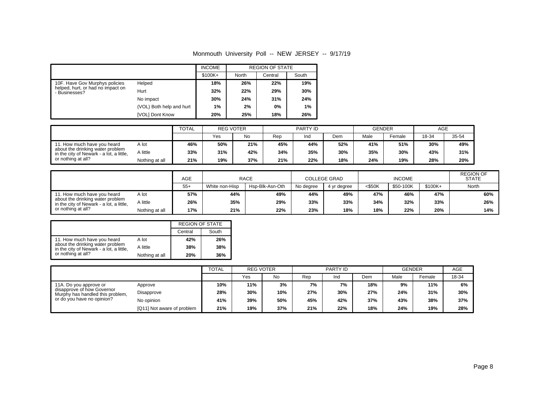|                                                            |                          | <b>INCOME</b> |       | <b>REGION OF STATE</b> |       |
|------------------------------------------------------------|--------------------------|---------------|-------|------------------------|-------|
|                                                            |                          | \$100K+       | North | Central                | South |
| 10F. Have Gov Murphys policies                             | Helped                   | 18%           | 26%   | 22%                    | 19%   |
| helped, hurt, or had no impact on<br>Hurt<br>- Businesses? |                          | 32%           | 22%   | 29%                    | 30%   |
|                                                            | No impact                | 30%           | 24%   | 31%                    | 24%   |
|                                                            | (VOL) Both help and hurt | 1%            | 2%    | 0%                     | 1%    |
|                                                            | <b>IVOLI Dont Know</b>   | 20%           | 25%   | 18%                    | 26%   |

|                                                                              |                | <b>TOTAL</b> | <b>REG VOTER</b> |     | <b>PARTY ID</b> |     |     | <b>GENDER</b> |        | AGE   |       |
|------------------------------------------------------------------------------|----------------|--------------|------------------|-----|-----------------|-----|-----|---------------|--------|-------|-------|
|                                                                              |                |              | Yes              | No  | Rep             | Ind | Dem | Male          | Female | 18-34 | 35-54 |
| 11. How much have you heard<br>A lot                                         |                | 46%          | 50%              | 21% | 45%             | 44% | 52% | 41%           | 51%    | 30%   | 49%   |
| about the drinking water problem<br>in the city of Newark - a lot, a little, | A little       | 33%          | 31%              | 42% | 34%             | 35% | 30% | 35%           | 30%    | 43%   | 31%   |
| or nothing at all?                                                           | Nothing at all | 21%          | 19%              | 37% | 21%             | 22% | 18% | 24%           | 19%    | 28%   | 20%   |

|                                                                                                                                   |                | <b>AGE</b> | <b>RACE</b>    |                 | <b>COLLEGE GRAD</b> |             | <b>INCOME</b> |           |          | <b>REGION OF</b><br><b>STATE</b> |  |
|-----------------------------------------------------------------------------------------------------------------------------------|----------------|------------|----------------|-----------------|---------------------|-------------|---------------|-----------|----------|----------------------------------|--|
|                                                                                                                                   |                | $55+$      | White non-Hisp | Hsp-Blk-Asn-Oth | No degree           | 4 vr dearee | <\$50K        | \$50-100K | $$100K+$ | North                            |  |
| 11. How much have you heard<br>about the drinking water problem<br>in the city of Newark - a lot, a little,<br>or nothing at all? | A lot          | 57%        | 44%            | 49%             | 44%                 | 49%         | 47%           | 46%       | 47%      | 60%                              |  |
|                                                                                                                                   | A little       | 26%        | 35%            | 29%             | 33%                 | 33%         | 34%           | 32%       | 33%      | 26%                              |  |
|                                                                                                                                   | Nothing at all | 17%        | 21%            | 22%             | 23%                 | 18%         | 18%           | 22%       | 20%      | 14%                              |  |

|                                                                                                                                   | <b>REGION OF STATE</b> |         |       |  |
|-----------------------------------------------------------------------------------------------------------------------------------|------------------------|---------|-------|--|
|                                                                                                                                   |                        | Central | South |  |
| 11. How much have you heard<br>about the drinking water problem<br>in the city of Newark - a lot, a little,<br>or nothing at all? | A lot                  | 42%     | 26%   |  |
|                                                                                                                                   | A little               | 38%     | 38%   |  |
|                                                                                                                                   | Nothing at all         | 20%     | 36%   |  |

|                                                                                                                        |                            | <b>TOTAL</b> | <b>REG VOTER</b> |     | <b>PARTY ID</b> |     |     | <b>GENDER</b> |        | AGE   |
|------------------------------------------------------------------------------------------------------------------------|----------------------------|--------------|------------------|-----|-----------------|-----|-----|---------------|--------|-------|
|                                                                                                                        |                            |              | Yes              | No  | Rep             | Ind | Dem | Male          | Female | 18-34 |
| 11A. Do you approve or<br>disapprove of how Governor<br>Murphy has handled this problem,<br>or do you have no opinion? | Approve                    | 10%          | 11%              | 3%  | 7%              | 7%  | 18% | 9%            | 11%    | 6%    |
|                                                                                                                        | Disapprove                 | 28%          | 30%              | 10% | 27%             | 30% | 27% | 24%           | 31%    | 30%   |
|                                                                                                                        | No opinion                 | 41%          | 39%              | 50% | 45%             | 42% | 37% | 43%           | 38%    | 37%   |
|                                                                                                                        | [Q11] Not aware of problem | 21%          | 19%              | 37% | 21%             | 22% | 18% | 24%           | 19%    | 28%   |